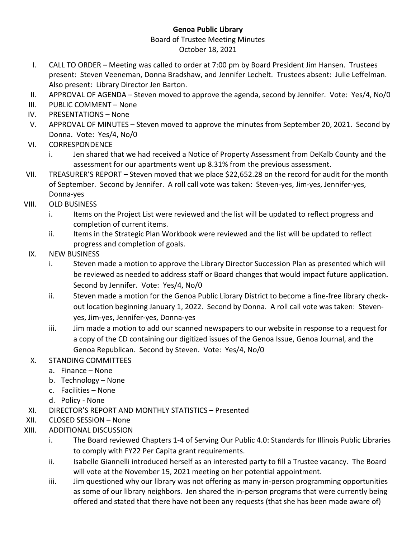## **Genoa Public Library**

## Board of Trustee Meeting Minutes October 18, 2021

- I. CALL TO ORDER Meeting was called to order at 7:00 pm by Board President Jim Hansen. Trustees present: Steven Veeneman, Donna Bradshaw, and Jennifer Lechelt. Trustees absent: Julie Leffelman. Also present: Library Director Jen Barton.
- II. APPROVAL OF AGENDA Steven moved to approve the agenda, second by Jennifer. Vote: Yes/4, No/0
- III. PUBLIC COMMENT None
- IV. PRESENTATIONS None
- V. APPROVAL OF MINUTES Steven moved to approve the minutes from September 20, 2021. Second by Donna. Vote: Yes/4, No/0
- VI. CORRESPONDENCE
	- i. Jen shared that we had received a Notice of Property Assessment from DeKalb County and the assessment for our apartments went up 8.31% from the previous assessment.
- VII. TREASURER'S REPORT Steven moved that we place \$22,652.28 on the record for audit for the month of September. Second by Jennifer. A roll call vote was taken: Steven-yes, Jim-yes, Jennifer-yes, Donna-yes
- VIII. OLD BUSINESS
	- i. Items on the Project List were reviewed and the list will be updated to reflect progress and completion of current items.
	- ii. Items in the Strategic Plan Workbook were reviewed and the list will be updated to reflect progress and completion of goals.
- IX. NEW BUSINESS
	- i. Steven made a motion to approve the Library Director Succession Plan as presented which will be reviewed as needed to address staff or Board changes that would impact future application. Second by Jennifer. Vote: Yes/4, No/0
	- ii. Steven made a motion for the Genoa Public Library District to become a fine-free library checkout location beginning January 1, 2022. Second by Donna. A roll call vote was taken: Stevenyes, Jim-yes, Jennifer-yes, Donna-yes
	- iii. Jim made a motion to add our scanned newspapers to our website in response to a request for a copy of the CD containing our digitized issues of the Genoa Issue, Genoa Journal, and the Genoa Republican. Second by Steven. Vote: Yes/4, No/0
- X. STANDING COMMITTEES
	- a. Finance None
	- b. Technology None
	- c. Facilities None
	- d. Policy None
- XI. DIRECTOR'S REPORT AND MONTHLY STATISTICS Presented
- XII. CLOSED SESSION None
- XIII. ADDITIONAL DISCUSSION
	- i. The Board reviewed Chapters 1-4 of Serving Our Public 4.0: Standards for Illinois Public Libraries to comply with FY22 Per Capita grant requirements.
	- ii. Isabelle Giannelli introduced herself as an interested party to fill a Trustee vacancy. The Board will vote at the November 15, 2021 meeting on her potential appointment.
	- iii. Jim questioned why our library was not offering as many in-person programming opportunities as some of our library neighbors. Jen shared the in-person programs that were currently being offered and stated that there have not been any requests (that she has been made aware of)